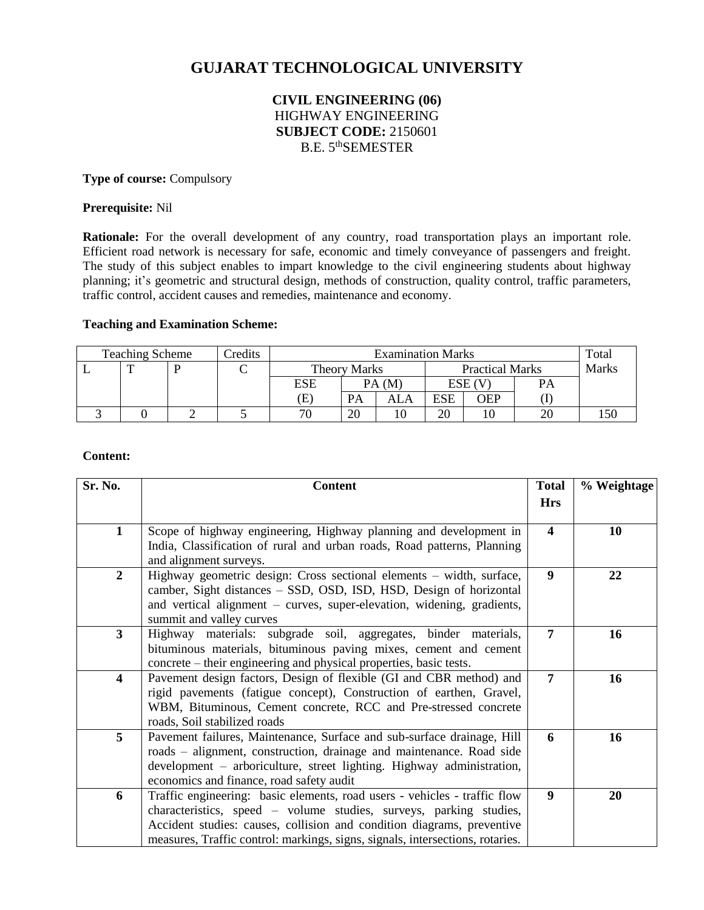# **GUJARAT TECHNOLOGICAL UNIVERSITY**

# **CIVIL ENGINEERING (06)** HIGHWAY ENGINEERING **SUBJECT CODE:** 2150601 B.E. 5<sup>th</sup>SEMESTER

#### **Type of course:** Compulsory

#### **Prerequisite:** Nil

**Rationale:** For the overall development of any country, road transportation plays an important role. Efficient road network is necessary for safe, economic and timely conveyance of passengers and freight. The study of this subject enables to impart knowledge to the civil engineering students about highway planning; it's geometric and structural design, methods of construction, quality control, traffic parameters, traffic control, accident causes and remedies, maintenance and economy.

## **Teaching and Examination Scheme:**

| <b>Teaching Scheme</b> |  | <b>Predits</b> | <b>Examination Marks</b> |                     |       |                        |           | Total        |     |
|------------------------|--|----------------|--------------------------|---------------------|-------|------------------------|-----------|--------------|-----|
|                        |  |                |                          | <b>Theory Marks</b> |       | <b>Practical Marks</b> |           | <b>Marks</b> |     |
|                        |  |                |                          | ESE                 | PA (M |                        | $ESE$ (V) |              |     |
|                        |  |                |                          | Έ                   | PА    | ALA                    | ESE       | OEP          |     |
|                        |  |                |                          | 70                  | 20    |                        | 20        | 10           | .50 |

#### **Content:**

| Sr. No.                 | <b>Content</b>                                                                                                                                                                                                                                                                                             |                         | % Weightage |
|-------------------------|------------------------------------------------------------------------------------------------------------------------------------------------------------------------------------------------------------------------------------------------------------------------------------------------------------|-------------------------|-------------|
|                         |                                                                                                                                                                                                                                                                                                            | <b>Hrs</b>              |             |
| $\mathbf{1}$            | Scope of highway engineering, Highway planning and development in<br>India, Classification of rural and urban roads, Road patterns, Planning<br>and alignment surveys.                                                                                                                                     | $\overline{\mathbf{4}}$ | 10          |
| $\overline{2}$          | Highway geometric design: Cross sectional elements – width, surface,<br>camber, Sight distances – SSD, OSD, ISD, HSD, Design of horizontal<br>and vertical alignment – curves, super-elevation, widening, gradients,<br>summit and valley curves                                                           | 9                       | 22          |
| 3                       | Highway materials: subgrade soil, aggregates, binder materials,<br>bituminous materials, bituminous paving mixes, cement and cement<br>concrete – their engineering and physical properties, basic tests.                                                                                                  | 7                       | 16          |
| $\overline{\mathbf{4}}$ | Pavement design factors, Design of flexible (GI and CBR method) and<br>rigid pavements (fatigue concept), Construction of earthen, Gravel,<br>WBM, Bituminous, Cement concrete, RCC and Pre-stressed concrete<br>roads, Soil stabilized roads                                                              | 7                       | 16          |
| 5                       | Pavement failures, Maintenance, Surface and sub-surface drainage, Hill<br>roads – alignment, construction, drainage and maintenance. Road side<br>development – arboriculture, street lighting. Highway administration,<br>economics and finance, road safety audit                                        | 6                       | 16          |
| 6                       | Traffic engineering: basic elements, road users - vehicles - traffic flow<br>characteristics, speed – volume studies, surveys, parking studies,<br>Accident studies: causes, collision and condition diagrams, preventive<br>measures, Traffic control: markings, signs, signals, intersections, rotaries. | 9                       | 20          |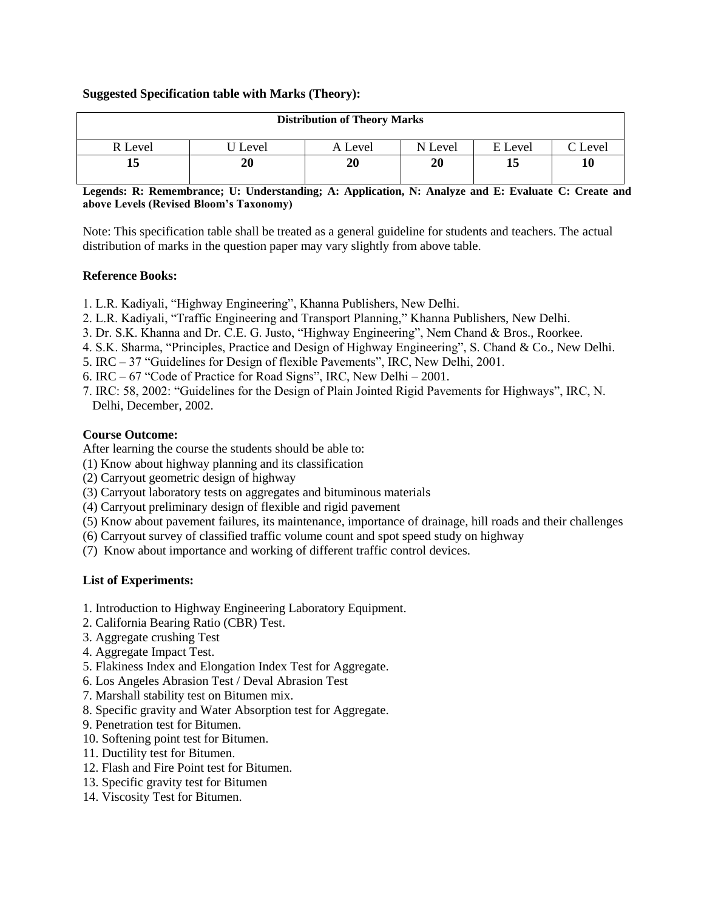## **Suggested Specification table with Marks (Theory):**

| <b>Distribution of Theory Marks</b> |       |         |         |         |                |  |  |  |  |
|-------------------------------------|-------|---------|---------|---------|----------------|--|--|--|--|
| R Level                             | Level | A Level | N Level | E Level | $\Gamma$ Level |  |  |  |  |
| 13                                  | 20    | 20      | 20      | 15      | 10             |  |  |  |  |

**Legends: R: Remembrance; U: Understanding; A: Application, N: Analyze and E: Evaluate C: Create and above Levels (Revised Bloom's Taxonomy)**

Note: This specification table shall be treated as a general guideline for students and teachers. The actual distribution of marks in the question paper may vary slightly from above table.

## **Reference Books:**

- 1. L.R. Kadiyali, "Highway Engineering", Khanna Publishers, New Delhi.
- 2. L.R. Kadiyali, "Traffic Engineering and Transport Planning," Khanna Publishers, New Delhi.
- 3. Dr. S.K. Khanna and Dr. C.E. G. Justo, "Highway Engineering", Nem Chand & Bros., Roorkee.
- 4. S.K. Sharma, "Principles, Practice and Design of Highway Engineering", S. Chand & Co., New Delhi.
- 5. IRC 37 "Guidelines for Design of flexible Pavements", IRC, New Delhi, 2001.
- 6. IRC 67 "Code of Practice for Road Signs", IRC, New Delhi 2001.
- 7. IRC: 58, 2002: "Guidelines for the Design of Plain Jointed Rigid Pavements for Highways", IRC, N. Delhi, December, 2002.

#### **Course Outcome:**

After learning the course the students should be able to:

- (1) Know about highway planning and its classification
- (2) Carryout geometric design of highway
- (3) Carryout laboratory tests on aggregates and bituminous materials
- (4) Carryout preliminary design of flexible and rigid pavement
- (5) Know about pavement failures, its maintenance, importance of drainage, hill roads and their challenges
- (6) Carryout survey of classified traffic volume count and spot speed study on highway
- (7) Know about importance and working of different traffic control devices.

#### **List of Experiments:**

- 1. Introduction to Highway Engineering Laboratory Equipment.
- 2. California Bearing Ratio (CBR) Test.
- 3. Aggregate crushing Test
- 4. Aggregate Impact Test.
- 5. Flakiness Index and Elongation Index Test for Aggregate.
- 6. Los Angeles Abrasion Test / Deval Abrasion Test
- 7. Marshall stability test on Bitumen mix.
- 8. Specific gravity and Water Absorption test for Aggregate.
- 9. Penetration test for Bitumen.
- 10. Softening point test for Bitumen.
- 11. Ductility test for Bitumen.
- 12. Flash and Fire Point test for Bitumen.
- 13. Specific gravity test for Bitumen
- 14. Viscosity Test for Bitumen.